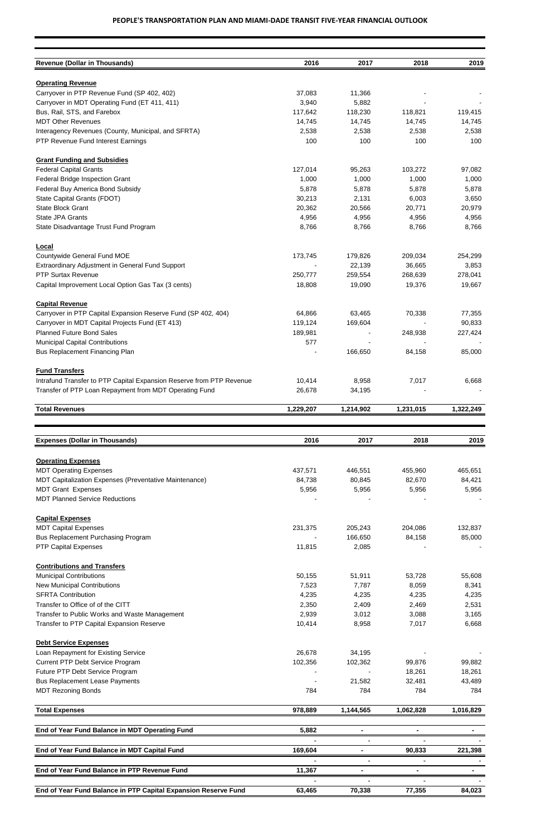| <b>Revenue (Dollar in Thousands)</b>                                 | 2016      | 2017      | 2018      | 2019      |
|----------------------------------------------------------------------|-----------|-----------|-----------|-----------|
|                                                                      |           |           |           |           |
| <b>Operating Revenue</b>                                             |           |           |           |           |
| Carryover in PTP Revenue Fund (SP 402, 402)                          | 37,083    | 11,366    |           |           |
| Carryover in MDT Operating Fund (ET 411, 411)                        | 3,940     | 5,882     |           |           |
| Bus, Rail, STS, and Farebox                                          | 117,642   | 118,230   | 118,821   | 119,415   |
| <b>MDT Other Revenues</b>                                            | 14,745    | 14,745    | 14,745    | 14,745    |
| Interagency Revenues (County, Municipal, and SFRTA)                  | 2,538     | 2,538     | 2,538     | 2,538     |
| PTP Revenue Fund Interest Earnings                                   | 100       | 100       | 100       | 100       |
| <b>Grant Funding and Subsidies</b>                                   |           |           |           |           |
| <b>Federal Capital Grants</b>                                        | 127,014   | 95,263    | 103,272   | 97,082    |
| Federal Bridge Inspection Grant                                      | 1,000     | 1,000     | 1,000     | 1,000     |
| Federal Buy America Bond Subsidy                                     | 5,878     | 5,878     | 5,878     | 5,878     |
| State Capital Grants (FDOT)                                          | 30,213    | 2,131     | 6,003     | 3,650     |
| State Block Grant                                                    | 20,362    | 20,566    | 20,771    | 20,979    |
| <b>State JPA Grants</b>                                              | 4,956     | 4,956     | 4,956     | 4,956     |
| State Disadvantage Trust Fund Program                                | 8,766     | 8,766     | 8,766     | 8,766     |
| Local                                                                |           |           |           |           |
| Countywide General Fund MOE                                          | 173,745   | 179,826   | 209,034   | 254,299   |
| Extraordinary Adjustment in General Fund Support                     |           | 22,139    | 36,665    | 3,853     |
| <b>PTP Surtax Revenue</b>                                            | 250,777   | 259,554   | 268,639   | 278,041   |
|                                                                      |           |           |           |           |
| Capital Improvement Local Option Gas Tax (3 cents)                   | 18,808    | 19,090    | 19,376    | 19,667    |
| <b>Capital Revenue</b>                                               |           |           |           |           |
| Carryover in PTP Capital Expansion Reserve Fund (SP 402, 404)        | 64,866    | 63,465    | 70,338    | 77,355    |
| Carryover in MDT Capital Projects Fund (ET 413)                      | 119,124   | 169,604   |           | 90,833    |
| <b>Planned Future Bond Sales</b>                                     | 189,981   |           | 248,938   | 227,424   |
| <b>Municipal Capital Contributions</b>                               | 577       |           |           |           |
| Bus Replacement Financing Plan                                       |           | 166,650   | 84,158    | 85,000    |
| <b>Fund Transfers</b>                                                |           |           |           |           |
| Intrafund Transfer to PTP Capital Expansion Reserve from PTP Revenue | 10,414    | 8,958     | 7,017     | 6,668     |
| Transfer of PTP Loan Repayment from MDT Operating Fund               | 26,678    | 34,195    |           |           |
| <b>Total Revenues</b>                                                | 1,229,207 | 1,214,902 | 1,231,015 | 1,322,249 |
|                                                                      |           |           |           |           |
| <b>Expenses (Dollar in Thousands)</b>                                | 2016      | 2017      | 2018      | 2019      |
|                                                                      |           |           |           |           |
| <b>Operating Expenses</b>                                            |           |           |           |           |
| <b>MDT Operating Expenses</b>                                        | 437,571   | 446,551   | 455,960   | 465,651   |
| MDT Capitalization Expenses (Preventative Maintenance)               | 84,738    | 80,845    | 82,670    | 84,421    |
| <b>MDT Grant Expenses</b>                                            | 5,956     | 5,956     | 5,956     | 5,956     |
| <b>MDT Planned Service Reductions</b>                                |           |           |           |           |
| <b>Capital Expenses</b>                                              |           |           |           |           |
| <b>MDT Capital Expenses</b>                                          | 231,375   | 205,243   | 204,086   | 132,837   |
| <b>Bus Replacement Purchasing Program</b>                            |           | 166,650   | 84,158    | 85,000    |
| <b>PTP Capital Expenses</b>                                          | 11,815    | 2,085     |           |           |
| <b>Contributions and Transfers</b>                                   |           |           |           |           |
| <b>Municipal Contributions</b>                                       | 50,155    | 51,911    | 53,728    | 55,608    |
| <b>New Municipal Contributions</b>                                   | 7,523     | 7,787     | 8,059     | 8,341     |
| <b>SFRTA Contribution</b>                                            | 4,235     | 4,235     | 4,235     | 4,235     |
| Transfer to Office of of the CITT                                    | 2,350     | 2,409     | 2,469     | 2,531     |
|                                                                      |           |           |           |           |

| Transfer to Public Works and Waste Management                  | 2,939   | 3,012     | 3,088     | 3,165     |
|----------------------------------------------------------------|---------|-----------|-----------|-----------|
| Transfer to PTP Capital Expansion Reserve                      | 10,414  | 8,958     | 7,017     | 6,668     |
| <b>Debt Service Expenses</b>                                   |         |           |           |           |
| Loan Repayment for Existing Service                            | 26,678  | 34,195    |           |           |
| Current PTP Debt Service Program                               | 102,356 | 102,362   | 99,876    | 99,882    |
| Future PTP Debt Service Program                                |         |           | 18,261    | 18,261    |
| <b>Bus Replacement Lease Payments</b>                          |         | 21,582    | 32,481    | 43,489    |
| <b>MDT Rezoning Bonds</b>                                      | 784     | 784       | 784       | 784       |
| <b>Total Expenses</b>                                          | 978,889 | 1,144,565 | 1,062,828 | 1,016,829 |
| End of Year Fund Balance in MDT Operating Fund                 | 5,882   |           |           |           |
|                                                                |         |           |           |           |
| End of Year Fund Balance in MDT Capital Fund                   | 169,604 |           | 90,833    | 221,398   |
|                                                                |         |           |           |           |
| End of Year Fund Balance in PTP Revenue Fund                   | 11,367  |           |           |           |
|                                                                |         |           |           |           |
| End of Year Fund Balance in PTP Capital Expansion Reserve Fund | 63,465  | 70,338    | 77,355    | 84,023    |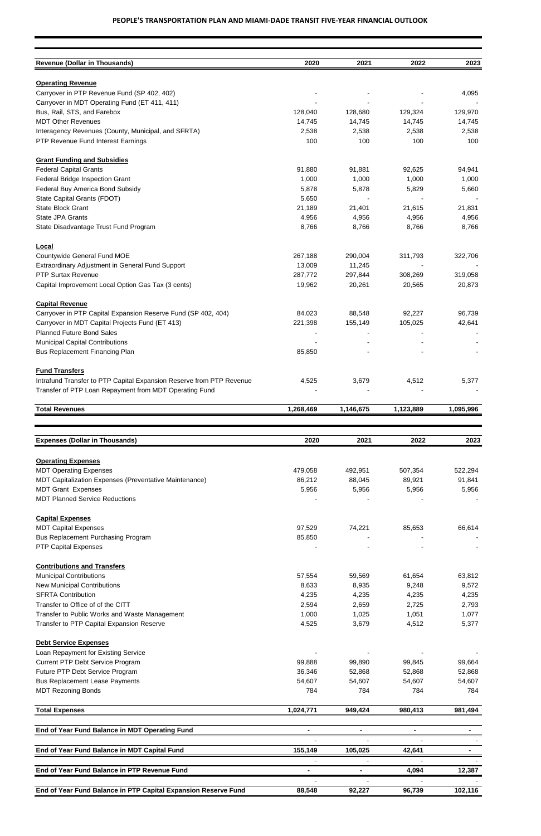| <b>Revenue (Dollar in Thousands)</b>                                 | 2020      | 2021      | 2022      | 2023      |
|----------------------------------------------------------------------|-----------|-----------|-----------|-----------|
|                                                                      |           |           |           |           |
| <b>Operating Revenue</b>                                             |           |           |           |           |
| Carryover in PTP Revenue Fund (SP 402, 402)                          |           |           |           | 4,095     |
| Carryover in MDT Operating Fund (ET 411, 411)                        |           |           |           |           |
| Bus, Rail, STS, and Farebox                                          | 128,040   | 128,680   | 129,324   | 129,970   |
| <b>MDT Other Revenues</b>                                            | 14,745    | 14,745    | 14,745    | 14,745    |
| Interagency Revenues (County, Municipal, and SFRTA)                  | 2,538     | 2,538     | 2,538     | 2,538     |
| PTP Revenue Fund Interest Earnings                                   | 100       | 100       | 100       | 100       |
| <b>Grant Funding and Subsidies</b>                                   |           |           |           |           |
| <b>Federal Capital Grants</b>                                        | 91,880    | 91,881    | 92,625    | 94,941    |
| Federal Bridge Inspection Grant                                      | 1,000     | 1,000     | 1,000     | 1,000     |
| Federal Buy America Bond Subsidy                                     | 5,878     | 5,878     | 5,829     | 5,660     |
| State Capital Grants (FDOT)                                          | 5,650     |           |           |           |
|                                                                      |           |           |           |           |
| <b>State Block Grant</b>                                             | 21,189    | 21,401    | 21,615    | 21,831    |
| <b>State JPA Grants</b>                                              | 4,956     | 4,956     | 4,956     | 4,956     |
| State Disadvantage Trust Fund Program                                | 8,766     | 8,766     | 8,766     | 8,766     |
| Local                                                                |           |           |           |           |
| Countywide General Fund MOE                                          | 267,188   | 290,004   | 311,793   | 322,706   |
| Extraordinary Adjustment in General Fund Support                     | 13,009    | 11,245    |           |           |
| <b>PTP Surtax Revenue</b>                                            | 287,772   | 297,844   | 308,269   | 319,058   |
| Capital Improvement Local Option Gas Tax (3 cents)                   | 19,962    | 20,261    | 20,565    | 20,873    |
| <b>Capital Revenue</b>                                               |           |           |           |           |
| Carryover in PTP Capital Expansion Reserve Fund (SP 402, 404)        | 84,023    | 88,548    | 92,227    | 96,739    |
|                                                                      |           |           |           |           |
| Carryover in MDT Capital Projects Fund (ET 413)                      | 221,398   | 155,149   | 105,025   | 42,641    |
| <b>Planned Future Bond Sales</b>                                     |           |           |           |           |
| <b>Municipal Capital Contributions</b>                               |           |           |           |           |
| Bus Replacement Financing Plan                                       | 85,850    |           |           |           |
| <b>Fund Transfers</b>                                                |           |           |           |           |
| Intrafund Transfer to PTP Capital Expansion Reserve from PTP Revenue | 4,525     | 3,679     | 4,512     | 5,377     |
| Transfer of PTP Loan Repayment from MDT Operating Fund               |           |           |           |           |
| <b>Total Revenues</b>                                                | 1,268,469 | 1,146,675 | 1,123,889 | 1,095,996 |
|                                                                      |           |           |           |           |
|                                                                      |           |           |           |           |
| <b>Expenses (Dollar in Thousands)</b>                                | 2020      | 2021      | 2022      | 2023      |
| <b>Operating Expenses</b>                                            |           |           |           |           |
| <b>MDT Operating Expenses</b>                                        | 479,058   | 492,951   | 507,354   | 522,294   |
| MDT Capitalization Expenses (Preventative Maintenance)               | 86,212    | 88,045    | 89,921    | 91,841    |
| <b>MDT Grant Expenses</b>                                            | 5,956     | 5,956     | 5,956     | 5,956     |
| <b>MDT Planned Service Reductions</b>                                |           |           |           |           |
|                                                                      |           |           |           |           |
| <b>Capital Expenses</b>                                              |           |           |           |           |
| <b>MDT Capital Expenses</b>                                          | 97,529    | 74,221    | 85,653    | 66,614    |
| <b>Bus Replacement Purchasing Program</b>                            | 85,850    |           |           |           |
| <b>PTP Capital Expenses</b>                                          |           |           |           |           |
| <b>Contributions and Transfers</b>                                   |           |           |           |           |
| <b>Municipal Contributions</b>                                       | 57,554    | 59,569    | 61,654    | 63,812    |
| <b>New Municipal Contributions</b>                                   | 8,633     | 8,935     | 9,248     | 9,572     |
| <b>SFRTA Contribution</b>                                            | 4,235     | 4,235     | 4,235     | 4,235     |
| Transfer to Office of of the CITT                                    | 2,594     | 2,659     | 2,725     | 2,793     |

| Transfer to Public Works and Waste Management                  | 1,000     | 1,025   | 1,051          | 1,077   |
|----------------------------------------------------------------|-----------|---------|----------------|---------|
| Transfer to PTP Capital Expansion Reserve                      | 4,525     | 3,679   | 4,512          | 5,377   |
| <b>Debt Service Expenses</b>                                   |           |         |                |         |
| Loan Repayment for Existing Service                            |           |         |                |         |
| <b>Current PTP Debt Service Program</b>                        | 99,888    | 99,890  | 99,845         | 99,664  |
| Future PTP Debt Service Program                                | 36,346    | 52,868  | 52,868         | 52,868  |
| <b>Bus Replacement Lease Payments</b>                          | 54,607    | 54,607  | 54,607         | 54,607  |
| <b>MDT Rezoning Bonds</b>                                      | 784       | 784     | 784            | 784     |
| <b>Total Expenses</b>                                          | 1,024,771 | 949,424 | 980,413        | 981,494 |
|                                                                |           |         |                |         |
| End of Year Fund Balance in MDT Operating Fund                 |           |         | $\blacksquare$ |         |
|                                                                |           |         |                |         |
| End of Year Fund Balance in MDT Capital Fund                   | 155,149   | 105,025 | 42,641         |         |
|                                                                |           |         |                |         |
| End of Year Fund Balance in PTP Revenue Fund                   |           |         | 4,094          | 12,387  |
|                                                                |           |         |                |         |
| End of Year Fund Balance in PTP Capital Expansion Reserve Fund | 88,548    | 92,227  | 96,739         | 102,116 |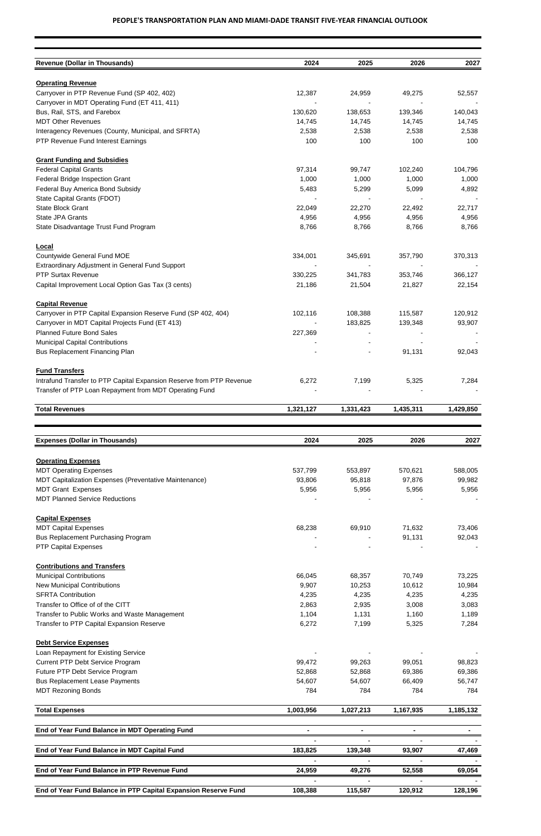| <b>Revenue (Dollar in Thousands)</b>                                                      | 2024      | 2025         | 2026         | 2027         |
|-------------------------------------------------------------------------------------------|-----------|--------------|--------------|--------------|
| <b>Operating Revenue</b>                                                                  |           |              |              |              |
| Carryover in PTP Revenue Fund (SP 402, 402)                                               | 12,387    | 24,959       | 49,275       | 52,557       |
| Carryover in MDT Operating Fund (ET 411, 411)                                             |           |              |              |              |
| Bus, Rail, STS, and Farebox                                                               | 130,620   | 138,653      | 139,346      | 140,043      |
| <b>MDT Other Revenues</b>                                                                 | 14,745    | 14,745       | 14,745       | 14,745       |
|                                                                                           | 2,538     |              |              |              |
| Interagency Revenues (County, Municipal, and SFRTA)<br>PTP Revenue Fund Interest Earnings | 100       | 2,538<br>100 | 2,538<br>100 | 2,538<br>100 |
| <b>Grant Funding and Subsidies</b>                                                        |           |              |              |              |
| <b>Federal Capital Grants</b>                                                             | 97,314    | 99,747       | 102,240      | 104,796      |
| Federal Bridge Inspection Grant                                                           | 1,000     | 1,000        | 1,000        | 1,000        |
| Federal Buy America Bond Subsidy                                                          | 5,483     | 5,299        | 5,099        | 4,892        |
| State Capital Grants (FDOT)                                                               |           |              |              |              |
| <b>State Block Grant</b>                                                                  | 22,049    | 22,270       | 22,492       | 22,717       |
| State JPA Grants                                                                          | 4,956     | 4,956        | 4,956        | 4,956        |
| State Disadvantage Trust Fund Program                                                     | 8,766     | 8,766        | 8,766        | 8,766        |
| <b>Local</b>                                                                              |           |              |              |              |
| Countywide General Fund MOE                                                               | 334,001   | 345,691      | 357,790      | 370,313      |
| Extraordinary Adjustment in General Fund Support                                          |           |              |              |              |
| <b>PTP Surtax Revenue</b>                                                                 | 330,225   | 341,783      | 353,746      | 366,127      |
| Capital Improvement Local Option Gas Tax (3 cents)                                        | 21,186    | 21,504       | 21,827       | 22,154       |
| <b>Capital Revenue</b>                                                                    |           |              |              |              |
| Carryover in PTP Capital Expansion Reserve Fund (SP 402, 404)                             | 102,116   | 108,388      | 115,587      | 120,912      |
| Carryover in MDT Capital Projects Fund (ET 413)                                           |           | 183,825      | 139,348      | 93,907       |
| <b>Planned Future Bond Sales</b>                                                          | 227,369   |              |              |              |
| <b>Municipal Capital Contributions</b>                                                    |           |              |              |              |
| Bus Replacement Financing Plan                                                            |           |              | 91,131       | 92,043       |
| <b>Fund Transfers</b>                                                                     |           |              |              |              |
| Intrafund Transfer to PTP Capital Expansion Reserve from PTP Revenue                      | 6,272     | 7,199        | 5,325        | 7,284        |
| Transfer of PTP Loan Repayment from MDT Operating Fund                                    |           |              |              |              |
| <b>Total Revenues</b>                                                                     | 1,321,127 | 1,331,423    | 1,435,311    | 1,429,850    |
|                                                                                           |           |              |              |              |
| <b>Expenses (Dollar in Thousands)</b>                                                     | 2024      | 2025         | 2026         | 2027         |
| <b>Operating Expenses</b>                                                                 |           |              |              |              |
| <b>MDT Operating Expenses</b>                                                             | 537,799   | 553,897      | 570,621      | 588,005      |
| MDT Capitalization Expenses (Preventative Maintenance)                                    | 93,806    | 95,818       | 97,876       | 99,982       |
| <b>MDT Grant Expenses</b>                                                                 | 5,956     | 5,956        | 5,956        | 5,956        |
| <b>MDT Planned Service Reductions</b>                                                     |           |              |              |              |
| <b>Capital Expenses</b>                                                                   |           |              |              |              |
| <b>MDT Capital Expenses</b>                                                               | 68,238    | 69,910       | 71,632       | 73,406       |
| <b>Bus Replacement Purchasing Program</b>                                                 |           |              | 91,131       | 92,043       |
| <b>PTP Capital Expenses</b>                                                               |           |              |              |              |
| <b>Contributions and Transfers</b>                                                        |           |              |              |              |
| <b>Municipal Contributions</b>                                                            | 66,045    | 68,357       | 70,749       | 73,225       |
| <b>New Municipal Contributions</b>                                                        | 9,907     | 10,253       | 10,612       | 10,984       |
| <b>SFRTA Contribution</b>                                                                 | 4,235     | 4,235        | 4,235        | 4,235        |
| Transfer to Office of of the CITT                                                         | 2,863     | 2,935        | 3,008        | 3,083        |
|                                                                                           |           |              |              |              |

| Transfer to Public Works and Waste Management  | 1,104     | 1,131     | 1,160     | 1,189     |
|------------------------------------------------|-----------|-----------|-----------|-----------|
| Transfer to PTP Capital Expansion Reserve      | 6,272     | 7,199     | 5,325     | 7,284     |
| <b>Debt Service Expenses</b>                   |           |           |           |           |
|                                                |           |           |           |           |
| Loan Repayment for Existing Service            |           |           |           |           |
| <b>Current PTP Debt Service Program</b>        | 99,472    | 99,263    | 99,051    | 98,823    |
| Future PTP Debt Service Program                | 52,868    | 52,868    | 69,386    | 69,386    |
| <b>Bus Replacement Lease Payments</b>          | 54,607    | 54,607    | 66,409    | 56,747    |
| <b>MDT Rezoning Bonds</b>                      | 784       | 784       | 784       | 784       |
| <b>Total Expenses</b>                          | 1,003,956 | 1,027,213 | 1,167,935 | 1,185,132 |
| End of Year Fund Balance in MDT Operating Fund |           |           |           |           |
|                                                |           |           |           |           |
|                                                |           |           |           |           |
| End of Year Fund Balance in MDT Capital Fund   | 183,825   | 139,348   | 93,907    | 47,469    |
|                                                |           |           |           |           |
| End of Year Fund Balance in PTP Revenue Fund   | 24,959    | 49,276    | 52,558    | 69,054    |
|                                                |           |           |           |           |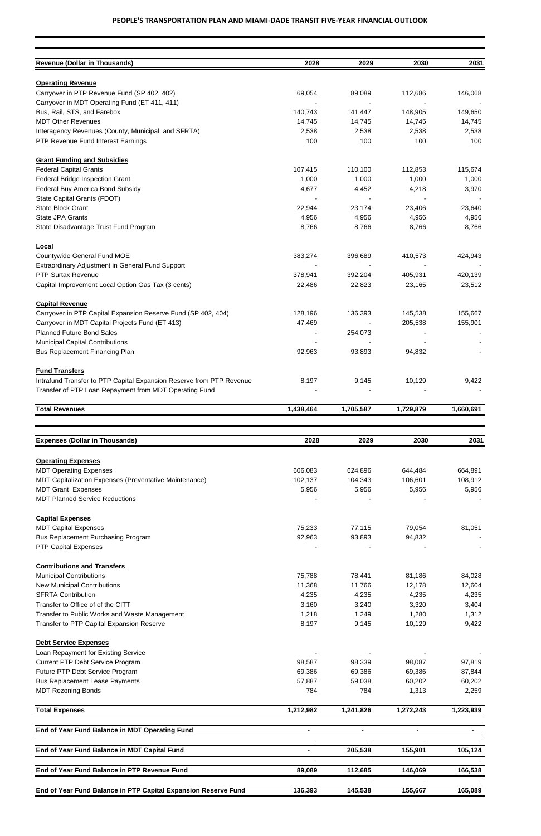| <b>Revenue (Dollar in Thousands)</b>                                 | 2028      | 2029      | 2030      | 2031      |
|----------------------------------------------------------------------|-----------|-----------|-----------|-----------|
|                                                                      |           |           |           |           |
| <b>Operating Revenue</b>                                             |           |           |           |           |
| Carryover in PTP Revenue Fund (SP 402, 402)                          | 69,054    | 89,089    | 112,686   | 146,068   |
| Carryover in MDT Operating Fund (ET 411, 411)                        |           |           |           |           |
| Bus, Rail, STS, and Farebox                                          | 140,743   | 141,447   | 148,905   | 149,650   |
| <b>MDT Other Revenues</b>                                            | 14,745    | 14,745    | 14,745    | 14,745    |
| Interagency Revenues (County, Municipal, and SFRTA)                  | 2,538     | 2,538     | 2,538     | 2,538     |
| PTP Revenue Fund Interest Earnings                                   | 100       | 100       | 100       | 100       |
| <b>Grant Funding and Subsidies</b>                                   |           |           |           |           |
| <b>Federal Capital Grants</b>                                        | 107,415   | 110,100   | 112,853   | 115,674   |
| Federal Bridge Inspection Grant                                      | 1,000     | 1,000     | 1,000     | 1,000     |
| Federal Buy America Bond Subsidy                                     | 4,677     | 4,452     | 4,218     | 3,970     |
| State Capital Grants (FDOT)                                          |           |           |           |           |
| <b>State Block Grant</b>                                             | 22,944    | 23,174    | 23,406    | 23,640    |
| State JPA Grants                                                     | 4,956     | 4,956     | 4,956     | 4,956     |
| State Disadvantage Trust Fund Program                                | 8,766     | 8,766     | 8,766     | 8,766     |
| Local                                                                |           |           |           |           |
| Countywide General Fund MOE                                          | 383,274   | 396,689   | 410,573   | 424,943   |
| <b>Extraordinary Adjustment in General Fund Support</b>              |           |           |           |           |
| <b>PTP Surtax Revenue</b>                                            | 378,941   | 392,204   | 405,931   | 420,139   |
| Capital Improvement Local Option Gas Tax (3 cents)                   | 22,486    | 22,823    | 23,165    | 23,512    |
| <b>Capital Revenue</b>                                               |           |           |           |           |
| Carryover in PTP Capital Expansion Reserve Fund (SP 402, 404)        | 128,196   | 136,393   | 145,538   | 155,667   |
| Carryover in MDT Capital Projects Fund (ET 413)                      | 47,469    |           | 205,538   | 155,901   |
| <b>Planned Future Bond Sales</b>                                     |           |           |           |           |
|                                                                      |           | 254,073   |           |           |
| <b>Municipal Capital Contributions</b>                               |           |           |           |           |
| <b>Bus Replacement Financing Plan</b>                                | 92,963    | 93,893    | 94,832    |           |
| <b>Fund Transfers</b>                                                |           |           |           |           |
| Intrafund Transfer to PTP Capital Expansion Reserve from PTP Revenue | 8,197     | 9,145     | 10,129    | 9,422     |
| Transfer of PTP Loan Repayment from MDT Operating Fund               |           |           |           |           |
| <b>Total Revenues</b>                                                | 1,438,464 | 1,705,587 | 1,729,879 | 1,660,691 |
|                                                                      |           |           |           |           |
| <b>Expenses (Dollar in Thousands)</b>                                | 2028      | 2029      | 2030      | 2031      |
| <b>Operating Expenses</b>                                            |           |           |           |           |
| <b>MDT Operating Expenses</b>                                        | 606,083   | 624,896   | 644,484   | 664,891   |
| MDT Capitalization Expenses (Preventative Maintenance)               | 102,137   | 104,343   | 106,601   | 108,912   |
| <b>MDT Grant Expenses</b>                                            | 5,956     | 5,956     | 5,956     | 5,956     |
| <b>MDT Planned Service Reductions</b>                                |           |           |           |           |
|                                                                      |           |           |           |           |
| <b>Capital Expenses</b>                                              |           |           |           |           |
| <b>MDT Capital Expenses</b>                                          | 75,233    | 77,115    | 79,054    | 81,051    |
| <b>Bus Replacement Purchasing Program</b>                            | 92,963    | 93,893    | 94,832    |           |
| <b>PTP Capital Expenses</b>                                          |           |           |           |           |
| <b>Contributions and Transfers</b>                                   |           |           |           |           |
| <b>Municipal Contributions</b>                                       | 75,788    | 78,441    | 81,186    | 84,028    |
| <b>New Municipal Contributions</b>                                   | 11,368    | 11,766    | 12,178    | 12,604    |
| <b>SFRTA Contribution</b>                                            | 4,235     | 4,235     | 4,235     | 4,235     |
| Transfer to Office of of the CITT                                    | 3,160     | 3,240     | 3,320     | 3,404     |

| Transfer to Public Works and Waste Management  | 1,218     | 1,249     | 1,280     | 1,312     |
|------------------------------------------------|-----------|-----------|-----------|-----------|
| Transfer to PTP Capital Expansion Reserve      | 8,197     | 9,145     | 10,129    | 9,422     |
|                                                |           |           |           |           |
| <b>Debt Service Expenses</b>                   |           |           |           |           |
| Loan Repayment for Existing Service            |           |           |           |           |
| <b>Current PTP Debt Service Program</b>        | 98,587    | 98,339    | 98,087    | 97,819    |
| Future PTP Debt Service Program                | 69,386    | 69,386    | 69,386    | 87,844    |
| <b>Bus Replacement Lease Payments</b>          | 57,887    | 59,038    | 60,202    | 60,202    |
| <b>MDT Rezoning Bonds</b>                      | 784       | 784       | 1,313     | 2,259     |
| <b>Total Expenses</b>                          | 1,212,982 | 1,241,826 | 1,272,243 | 1,223,939 |
| End of Year Fund Balance in MDT Operating Fund |           |           |           |           |
|                                                |           |           |           |           |
| End of Year Fund Balance in MDT Capital Fund   |           | 205,538   | 155,901   | 105,124   |
|                                                |           |           |           |           |
|                                                |           |           |           |           |
| End of Year Fund Balance in PTP Revenue Fund   | 89,089    | 112,685   | 146,069   | 166,538   |
|                                                |           |           |           |           |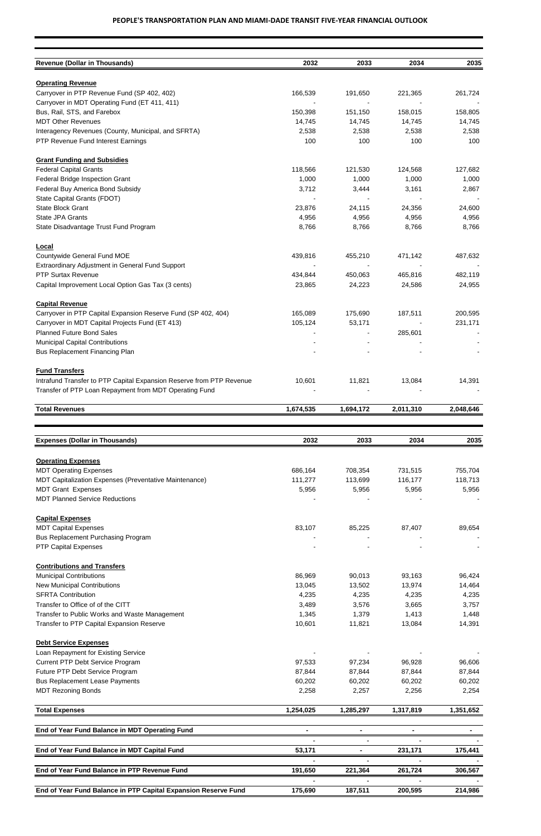| <b>Revenue (Dollar in Thousands)</b>                                 | 2032      | 2033      | 2034      | 2035      |
|----------------------------------------------------------------------|-----------|-----------|-----------|-----------|
|                                                                      |           |           |           |           |
| <b>Operating Revenue</b>                                             |           |           |           |           |
| Carryover in PTP Revenue Fund (SP 402, 402)                          | 166,539   | 191,650   | 221,365   | 261,724   |
| Carryover in MDT Operating Fund (ET 411, 411)                        |           |           |           |           |
| Bus, Rail, STS, and Farebox                                          | 150,398   | 151,150   | 158,015   | 158,805   |
| <b>MDT Other Revenues</b>                                            | 14,745    | 14,745    | 14,745    | 14,745    |
| Interagency Revenues (County, Municipal, and SFRTA)                  | 2,538     | 2,538     | 2,538     | 2,538     |
| PTP Revenue Fund Interest Earnings                                   | 100       | 100       | 100       | 100       |
| <b>Grant Funding and Subsidies</b>                                   |           |           |           |           |
| <b>Federal Capital Grants</b>                                        | 118,566   | 121,530   | 124,568   | 127,682   |
| Federal Bridge Inspection Grant                                      | 1,000     | 1,000     | 1,000     | 1,000     |
| Federal Buy America Bond Subsidy                                     | 3,712     | 3,444     | 3,161     | 2,867     |
| State Capital Grants (FDOT)                                          |           |           |           |           |
| <b>State Block Grant</b>                                             | 23,876    | 24,115    | 24,356    | 24,600    |
| <b>State JPA Grants</b>                                              | 4,956     | 4,956     | 4,956     | 4,956     |
| State Disadvantage Trust Fund Program                                | 8,766     | 8,766     | 8,766     | 8,766     |
|                                                                      |           |           |           |           |
| <b>Local</b>                                                         |           |           |           |           |
| Countywide General Fund MOE                                          | 439,816   | 455,210   | 471,142   | 487,632   |
| Extraordinary Adjustment in General Fund Support                     |           |           |           |           |
| <b>PTP Surtax Revenue</b>                                            | 434,844   | 450,063   | 465,816   | 482,119   |
| Capital Improvement Local Option Gas Tax (3 cents)                   | 23,865    | 24,223    | 24,586    | 24,955    |
| <b>Capital Revenue</b>                                               |           |           |           |           |
| Carryover in PTP Capital Expansion Reserve Fund (SP 402, 404)        | 165,089   | 175,690   | 187,511   | 200,595   |
| Carryover in MDT Capital Projects Fund (ET 413)                      | 105,124   | 53,171    |           | 231,171   |
| <b>Planned Future Bond Sales</b>                                     |           |           | 285,601   |           |
| <b>Municipal Capital Contributions</b>                               |           |           |           |           |
| <b>Bus Replacement Financing Plan</b>                                |           |           |           |           |
|                                                                      |           |           |           |           |
| <b>Fund Transfers</b>                                                |           |           |           |           |
| Intrafund Transfer to PTP Capital Expansion Reserve from PTP Revenue | 10,601    | 11,821    | 13,084    | 14,391    |
| Transfer of PTP Loan Repayment from MDT Operating Fund               |           |           |           |           |
| <b>Total Revenues</b>                                                | 1,674,535 | 1,694,172 | 2,011,310 | 2,048,646 |
|                                                                      |           |           |           |           |
| <b>Expenses (Dollar in Thousands)</b>                                | 2032      | 2033      | 2034      | 2035      |
|                                                                      |           |           |           |           |
| <b>Operating Expenses</b>                                            |           |           |           |           |
| <b>MDT Operating Expenses</b>                                        | 686,164   | 708,354   | 731,515   | 755,704   |
| MDT Capitalization Expenses (Preventative Maintenance)               | 111,277   | 113,699   | 116,177   | 118,713   |
| <b>MDT Grant Expenses</b>                                            | 5,956     | 5,956     | 5,956     | 5,956     |
| <b>MDT Planned Service Reductions</b>                                |           |           |           |           |
| <b>Capital Expenses</b>                                              |           |           |           |           |
| <b>MDT Capital Expenses</b>                                          | 83,107    | 85,225    | 87,407    | 89,654    |
| Bus Replacement Purchasing Program                                   |           |           |           |           |
| <b>PTP Capital Expenses</b>                                          |           |           |           |           |
|                                                                      |           |           |           |           |
| <b>Contributions and Transfers</b>                                   |           |           |           |           |
| <b>Municipal Contributions</b>                                       | 86,969    | 90,013    | 93,163    | 96,424    |
| <b>New Municipal Contributions</b>                                   | 13,045    | 13,502    | 13,974    | 14,464    |
| <b>SFRTA Contribution</b>                                            | 4,235     | 4,235     | 4,235     | 4,235     |
| Transfer to Office of of the CITT                                    | 3,489     | 3,576     | 3,665     | 3,757     |

| Transfer to Public Works and Waste Management                  | 1,345     | 1,379     | 1,413     | 1,448     |
|----------------------------------------------------------------|-----------|-----------|-----------|-----------|
| Transfer to PTP Capital Expansion Reserve                      | 10,601    | 11,821    | 13,084    | 14,391    |
| <b>Debt Service Expenses</b>                                   |           |           |           |           |
| Loan Repayment for Existing Service                            |           |           |           |           |
| <b>Current PTP Debt Service Program</b>                        | 97,533    | 97,234    | 96,928    | 96,606    |
| Future PTP Debt Service Program                                | 87,844    | 87,844    | 87,844    | 87,844    |
| <b>Bus Replacement Lease Payments</b>                          | 60,202    | 60,202    | 60,202    | 60,202    |
| <b>MDT Rezoning Bonds</b>                                      | 2,258     | 2,257     | 2,256     | 2,254     |
| <b>Total Expenses</b>                                          | 1,254,025 | 1,285,297 | 1,317,819 | 1,351,652 |
| End of Year Fund Balance in MDT Operating Fund                 |           |           |           |           |
|                                                                |           |           |           |           |
| End of Year Fund Balance in MDT Capital Fund                   | 53,171    |           | 231,171   | 175,441   |
|                                                                |           |           |           |           |
| End of Year Fund Balance in PTP Revenue Fund                   | 191,650   | 221,364   | 261,724   | 306,567   |
|                                                                |           |           |           |           |
| End of Year Fund Balance in PTP Capital Expansion Reserve Fund | 175,690   | 187,511   | 200,595   | 214,986   |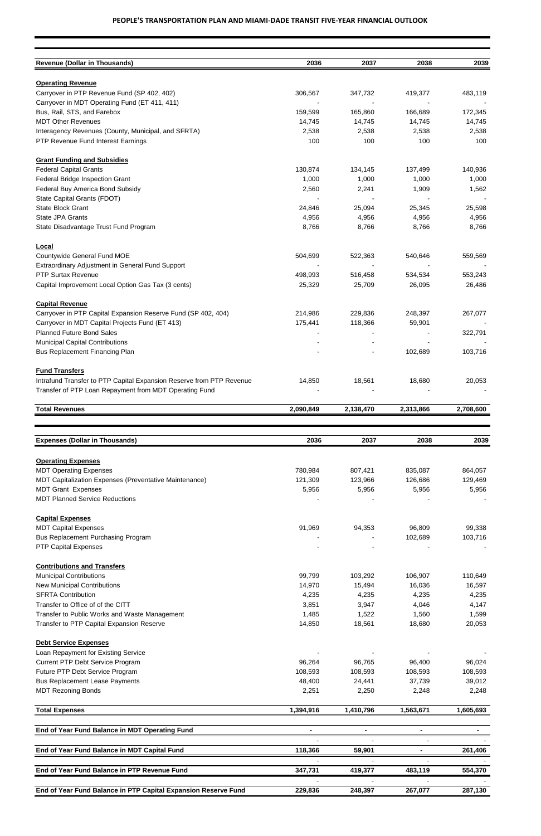| <b>Revenue (Dollar in Thousands)</b>                                    | 2036      | 2037      | 2038      | 2039      |
|-------------------------------------------------------------------------|-----------|-----------|-----------|-----------|
|                                                                         |           |           |           |           |
| <b>Operating Revenue</b><br>Carryover in PTP Revenue Fund (SP 402, 402) | 306,567   | 347,732   | 419,377   | 483,119   |
| Carryover in MDT Operating Fund (ET 411, 411)                           |           |           |           |           |
| Bus, Rail, STS, and Farebox                                             | 159,599   | 165,860   | 166,689   | 172,345   |
| <b>MDT Other Revenues</b>                                               | 14,745    | 14,745    | 14,745    | 14,745    |
| Interagency Revenues (County, Municipal, and SFRTA)                     | 2,538     | 2,538     | 2,538     | 2,538     |
| PTP Revenue Fund Interest Earnings                                      | 100       | 100       | 100       | 100       |
| <b>Grant Funding and Subsidies</b>                                      |           |           |           |           |
| <b>Federal Capital Grants</b>                                           | 130,874   | 134,145   | 137,499   | 140,936   |
| Federal Bridge Inspection Grant                                         | 1,000     | 1,000     | 1,000     | 1,000     |
| Federal Buy America Bond Subsidy                                        | 2,560     | 2,241     | 1,909     | 1,562     |
| State Capital Grants (FDOT)                                             |           |           |           |           |
| <b>State Block Grant</b>                                                | 24,846    | 25,094    | 25,345    | 25,598    |
| State JPA Grants                                                        | 4,956     | 4,956     | 4,956     | 4,956     |
| State Disadvantage Trust Fund Program                                   | 8,766     | 8,766     | 8,766     | 8,766     |
| <b>Local</b>                                                            |           |           |           |           |
| Countywide General Fund MOE                                             | 504,699   | 522,363   | 540,646   | 559,569   |
| Extraordinary Adjustment in General Fund Support                        |           |           |           |           |
| <b>PTP Surtax Revenue</b>                                               | 498,993   | 516,458   | 534,534   | 553,243   |
| Capital Improvement Local Option Gas Tax (3 cents)                      | 25,329    | 25,709    | 26,095    | 26,486    |
| <b>Capital Revenue</b>                                                  |           |           |           |           |
| Carryover in PTP Capital Expansion Reserve Fund (SP 402, 404)           | 214,986   | 229,836   | 248,397   | 267,077   |
| Carryover in MDT Capital Projects Fund (ET 413)                         | 175,441   | 118,366   | 59,901    |           |
| <b>Planned Future Bond Sales</b>                                        |           |           |           | 322,791   |
| <b>Municipal Capital Contributions</b>                                  |           |           |           |           |
| <b>Bus Replacement Financing Plan</b>                                   |           |           | 102,689   | 103,716   |
| <b>Fund Transfers</b>                                                   |           |           |           |           |
| Intrafund Transfer to PTP Capital Expansion Reserve from PTP Revenue    | 14,850    | 18,561    | 18,680    | 20,053    |
| Transfer of PTP Loan Repayment from MDT Operating Fund                  |           |           |           |           |
| <b>Total Revenues</b>                                                   | 2,090,849 | 2,138,470 | 2,313,866 | 2,708,600 |
|                                                                         |           |           |           |           |
| <b>Expenses (Dollar in Thousands)</b>                                   | 2036      | 2037      | 2038      | 2039      |
|                                                                         |           |           |           |           |
| <b>Operating Expenses</b>                                               |           |           |           |           |
| <b>MDT Operating Expenses</b>                                           | 780,984   | 807,421   | 835,087   | 864,057   |
| MDT Capitalization Expenses (Preventative Maintenance)                  | 121,309   | 123,966   | 126,686   | 129,469   |
| <b>MDT Grant Expenses</b>                                               | 5,956     | 5,956     | 5,956     | 5,956     |
| <b>MDT Planned Service Reductions</b>                                   |           |           |           |           |
| <b>Capital Expenses</b>                                                 |           |           |           |           |
| <b>MDT Capital Expenses</b>                                             | 91,969    | 94,353    | 96,809    | 99,338    |
| <b>Bus Replacement Purchasing Program</b>                               |           |           | 102,689   | 103,716   |
| <b>PTP Capital Expenses</b>                                             |           |           |           |           |
| <b>Contributions and Transfers</b>                                      |           |           |           |           |
| <b>Municipal Contributions</b>                                          | 99,799    | 103,292   | 106,907   | 110,649   |
| <b>New Municipal Contributions</b>                                      | 14,970    | 15,494    | 16,036    | 16,597    |
| <b>SFRTA Contribution</b>                                               | 4,235     | 4,235     | 4,235     | 4,235     |
| Transfer to Office of of the CITT                                       | 3,851     | 3,947     | 4,046     | 4,147     |

| Transfer to Public Works and Waste Management  | 1,485     | 1,522     | 1,560     | 1,599     |
|------------------------------------------------|-----------|-----------|-----------|-----------|
| Transfer to PTP Capital Expansion Reserve      | 14,850    | 18,561    | 18,680    | 20,053    |
| <b>Debt Service Expenses</b>                   |           |           |           |           |
| Loan Repayment for Existing Service            |           |           |           |           |
| Current PTP Debt Service Program               | 96,264    | 96,765    | 96,400    | 96,024    |
| Future PTP Debt Service Program                | 108,593   | 108,593   | 108,593   | 108,593   |
| <b>Bus Replacement Lease Payments</b>          | 48,400    | 24,441    | 37,739    | 39,012    |
| <b>MDT Rezoning Bonds</b>                      | 2,251     | 2,250     | 2,248     | 2,248     |
| <b>Total Expenses</b>                          | 1,394,916 | 1,410,796 | 1,563,671 | 1,605,693 |
| End of Year Fund Balance in MDT Operating Fund |           |           |           |           |
|                                                |           |           |           |           |
| End of Year Fund Balance in MDT Capital Fund   | 118,366   | 59,901    |           | 261,406   |
|                                                |           |           |           |           |
|                                                |           |           |           |           |
| End of Year Fund Balance in PTP Revenue Fund   | 347,731   | 419,377   | 483,119   | 554,370   |
|                                                |           |           |           |           |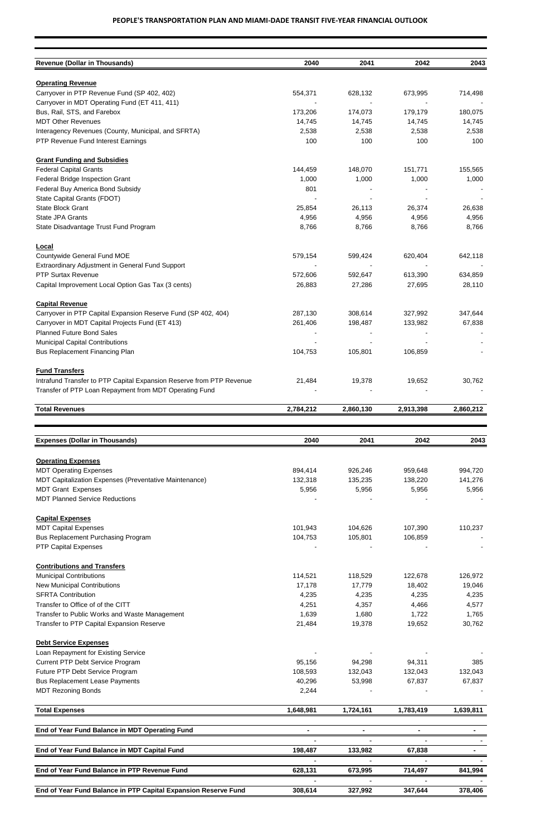| <b>Revenue (Dollar in Thousands)</b>                                 | 2040      | 2041      | 2042      | 2043      |
|----------------------------------------------------------------------|-----------|-----------|-----------|-----------|
|                                                                      |           |           |           |           |
| <b>Operating Revenue</b>                                             |           |           |           |           |
| Carryover in PTP Revenue Fund (SP 402, 402)                          | 554,371   | 628,132   | 673,995   | 714,498   |
| Carryover in MDT Operating Fund (ET 411, 411)                        |           |           |           |           |
| Bus, Rail, STS, and Farebox                                          | 173,206   | 174,073   | 179,179   | 180,075   |
| <b>MDT Other Revenues</b>                                            | 14,745    | 14,745    | 14,745    | 14,745    |
| Interagency Revenues (County, Municipal, and SFRTA)                  | 2,538     | 2,538     | 2,538     | 2,538     |
| PTP Revenue Fund Interest Earnings                                   | 100       | 100       | 100       | 100       |
| <b>Grant Funding and Subsidies</b>                                   |           |           |           |           |
| <b>Federal Capital Grants</b>                                        | 144,459   | 148,070   | 151,771   | 155,565   |
| Federal Bridge Inspection Grant                                      | 1,000     | 1,000     | 1,000     | 1,000     |
| Federal Buy America Bond Subsidy                                     | 801       |           |           |           |
| State Capital Grants (FDOT)                                          |           |           |           |           |
| <b>State Block Grant</b>                                             | 25,854    | 26,113    | 26,374    | 26,638    |
| State JPA Grants                                                     | 4,956     | 4,956     | 4,956     | 4,956     |
| State Disadvantage Trust Fund Program                                | 8,766     | 8,766     | 8,766     | 8,766     |
|                                                                      |           |           |           |           |
| <b>Local</b>                                                         |           |           |           |           |
| Countywide General Fund MOE                                          | 579,154   | 599,424   | 620,404   | 642,118   |
| Extraordinary Adjustment in General Fund Support                     |           |           |           |           |
| <b>PTP Surtax Revenue</b>                                            | 572,606   | 592,647   | 613,390   | 634,859   |
| Capital Improvement Local Option Gas Tax (3 cents)                   | 26,883    | 27,286    | 27,695    | 28,110    |
| <b>Capital Revenue</b>                                               |           |           |           |           |
| Carryover in PTP Capital Expansion Reserve Fund (SP 402, 404)        | 287,130   | 308,614   | 327,992   | 347,644   |
| Carryover in MDT Capital Projects Fund (ET 413)                      | 261,406   | 198,487   | 133,982   | 67,838    |
| <b>Planned Future Bond Sales</b>                                     |           |           |           |           |
| <b>Municipal Capital Contributions</b>                               |           |           |           |           |
| <b>Bus Replacement Financing Plan</b>                                | 104,753   | 105,801   | 106,859   |           |
|                                                                      |           |           |           |           |
| <b>Fund Transfers</b>                                                |           |           |           |           |
| Intrafund Transfer to PTP Capital Expansion Reserve from PTP Revenue | 21,484    | 19,378    | 19,652    | 30,762    |
| Transfer of PTP Loan Repayment from MDT Operating Fund               |           |           |           |           |
| <b>Total Revenues</b>                                                | 2,784,212 | 2,860,130 | 2,913,398 | 2,860,212 |
|                                                                      |           |           |           |           |
| <b>Expenses (Dollar in Thousands)</b>                                | 2040      | 2041      | 2042      | 2043      |
|                                                                      |           |           |           |           |
| <b>Operating Expenses</b>                                            |           |           |           |           |
| <b>MDT Operating Expenses</b>                                        | 894,414   | 926,246   | 959,648   | 994,720   |
| MDT Capitalization Expenses (Preventative Maintenance)               | 132,318   | 135,235   | 138,220   | 141,276   |
| <b>MDT Grant Expenses</b>                                            | 5,956     | 5,956     | 5,956     | 5,956     |
| <b>MDT Planned Service Reductions</b>                                |           |           |           |           |
| <b>Capital Expenses</b>                                              |           |           |           |           |
| <b>MDT Capital Expenses</b>                                          | 101,943   | 104,626   | 107,390   | 110,237   |
| <b>Bus Replacement Purchasing Program</b>                            | 104,753   | 105,801   | 106,859   |           |
| <b>PTP Capital Expenses</b>                                          |           |           |           |           |
| <b>Contributions and Transfers</b>                                   |           |           |           |           |
| <b>Municipal Contributions</b>                                       | 114,521   | 118,529   | 122,678   | 126,972   |
| <b>New Municipal Contributions</b>                                   | 17,178    | 17,779    | 18,402    | 19,046    |
| <b>SFRTA Contribution</b>                                            |           |           |           |           |
|                                                                      | 4,235     | 4,235     | 4,235     | 4,235     |
| Transfer to Office of of the CITT                                    | 4,251     | 4,357     | 4,466     | 4,577     |

| Transfer to Public Works and Waste Management  | 1,639     | 1,680     | 1,722     | 1,765     |
|------------------------------------------------|-----------|-----------|-----------|-----------|
| Transfer to PTP Capital Expansion Reserve      | 21,484    | 19,378    | 19,652    | 30,762    |
|                                                |           |           |           |           |
| <b>Debt Service Expenses</b>                   |           |           |           |           |
| Loan Repayment for Existing Service            |           |           |           |           |
| <b>Current PTP Debt Service Program</b>        | 95,156    | 94,298    | 94,311    | 385       |
| Future PTP Debt Service Program                | 108,593   | 132,043   | 132,043   | 132,043   |
| <b>Bus Replacement Lease Payments</b>          | 40,296    | 53,998    | 67,837    | 67,837    |
| <b>MDT Rezoning Bonds</b>                      | 2,244     |           |           |           |
| <b>Total Expenses</b>                          | 1,648,981 | 1,724,161 | 1,783,419 | 1,639,811 |
|                                                |           |           |           |           |
| End of Year Fund Balance in MDT Operating Fund |           |           |           |           |
|                                                |           |           |           |           |
| End of Year Fund Balance in MDT Capital Fund   | 198,487   | 133,982   | 67,838    |           |
|                                                |           |           |           |           |
| End of Year Fund Balance in PTP Revenue Fund   | 628,131   | 673,995   | 714,497   | 841,994   |
|                                                |           |           |           |           |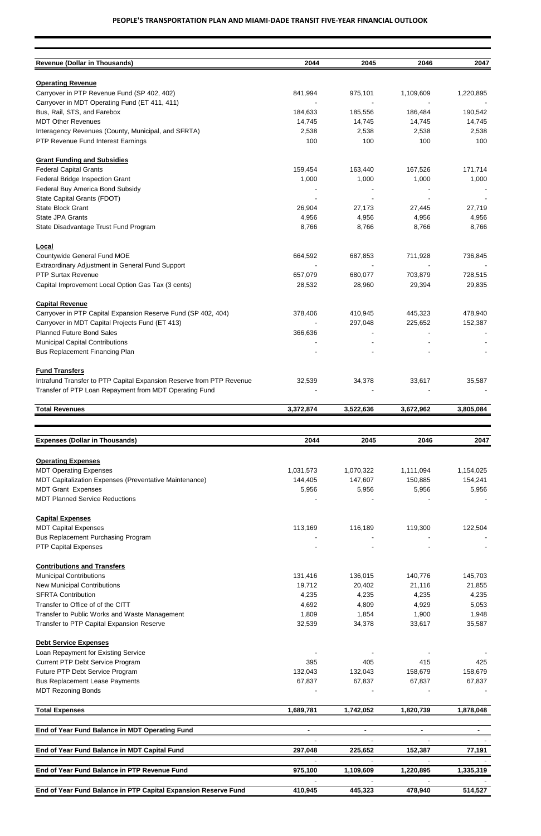| <b>Revenue (Dollar in Thousands)</b>                                 | 2044      | 2045      | 2046      | 2047      |
|----------------------------------------------------------------------|-----------|-----------|-----------|-----------|
| <b>Operating Revenue</b>                                             |           |           |           |           |
| Carryover in PTP Revenue Fund (SP 402, 402)                          | 841,994   | 975,101   | 1,109,609 | 1,220,895 |
| Carryover in MDT Operating Fund (ET 411, 411)                        |           |           |           |           |
| Bus, Rail, STS, and Farebox                                          | 184,633   | 185,556   | 186,484   | 190,542   |
| <b>MDT Other Revenues</b>                                            | 14,745    | 14,745    | 14,745    | 14,745    |
| Interagency Revenues (County, Municipal, and SFRTA)                  | 2,538     | 2,538     | 2,538     | 2,538     |
| PTP Revenue Fund Interest Earnings                                   | 100       | 100       | 100       | 100       |
| <b>Grant Funding and Subsidies</b>                                   |           |           |           |           |
| <b>Federal Capital Grants</b>                                        | 159,454   | 163,440   | 167,526   | 171,714   |
| Federal Bridge Inspection Grant                                      | 1,000     | 1,000     | 1,000     | 1,000     |
| Federal Buy America Bond Subsidy                                     |           |           |           |           |
| State Capital Grants (FDOT)                                          |           |           |           |           |
| <b>State Block Grant</b>                                             | 26,904    | 27,173    | 27,445    | 27,719    |
| <b>State JPA Grants</b>                                              | 4,956     | 4,956     | 4,956     | 4,956     |
| State Disadvantage Trust Fund Program                                | 8,766     | 8,766     | 8,766     | 8,766     |
| Local                                                                |           |           |           |           |
| Countywide General Fund MOE                                          | 664,592   | 687,853   | 711,928   | 736,845   |
| <b>Extraordinary Adjustment in General Fund Support</b>              |           |           |           |           |
| <b>PTP Surtax Revenue</b>                                            | 657,079   | 680,077   | 703,879   | 728,515   |
| Capital Improvement Local Option Gas Tax (3 cents)                   | 28,532    | 28,960    | 29,394    | 29,835    |
| <b>Capital Revenue</b>                                               |           |           |           |           |
| Carryover in PTP Capital Expansion Reserve Fund (SP 402, 404)        | 378,406   | 410,945   | 445,323   | 478,940   |
| Carryover in MDT Capital Projects Fund (ET 413)                      |           | 297,048   | 225,652   | 152,387   |
| <b>Planned Future Bond Sales</b>                                     | 366,636   |           |           |           |
| <b>Municipal Capital Contributions</b>                               |           |           |           |           |
| <b>Bus Replacement Financing Plan</b>                                |           |           |           |           |
| <b>Fund Transfers</b>                                                |           |           |           |           |
| Intrafund Transfer to PTP Capital Expansion Reserve from PTP Revenue | 32,539    | 34,378    | 33,617    | 35,587    |
| Transfer of PTP Loan Repayment from MDT Operating Fund               |           |           |           |           |
| <b>Total Revenues</b>                                                | 3,372,874 | 3,522,636 | 3,672,962 | 3,805,084 |
|                                                                      |           |           |           |           |
| <b>Expenses (Dollar in Thousands)</b>                                | 2044      | 2045      | 2046      | 2047      |
| <b>Operating Expenses</b>                                            |           |           |           |           |
| <b>MDT Operating Expenses</b>                                        | 1,031,573 | 1,070,322 | 1,111,094 | 1,154,025 |
| MDT Capitalization Expenses (Preventative Maintenance)               | 144,405   | 147,607   | 150,885   | 154,241   |
| <b>MDT Grant Expenses</b>                                            | 5,956     | 5,956     | 5,956     | 5,956     |
| <b>MDT Planned Service Reductions</b>                                |           |           |           |           |
| <b>Capital Expenses</b>                                              |           |           |           |           |
| <b>MDT Capital Expenses</b>                                          | 113,169   | 116,189   | 119,300   | 122,504   |
| <b>Bus Replacement Purchasing Program</b>                            |           |           |           |           |
| <b>PTP Capital Expenses</b>                                          |           |           |           |           |
| <b>Contributions and Transfers</b>                                   |           |           |           |           |
| <b>Municipal Contributions</b>                                       | 131,416   | 136,015   | 140,776   | 145,703   |
| <b>New Municipal Contributions</b>                                   | 19,712    | 20,402    | 21,116    | 21,855    |
| <b>SFRTA Contribution</b>                                            | 4,235     | 4,235     | 4,235     | 4,235     |
| Transfer to Office of of the CITT                                    | 4,692     | 4,809     | 4,929     | 5,053     |

| Transfer to Public Works and Waste Management                  | 1,809     | 1,854     | 1,900     | 1,948     |
|----------------------------------------------------------------|-----------|-----------|-----------|-----------|
| Transfer to PTP Capital Expansion Reserve                      | 32,539    | 34,378    | 33,617    | 35,587    |
| <b>Debt Service Expenses</b>                                   |           |           |           |           |
| Loan Repayment for Existing Service                            |           |           |           |           |
| <b>Current PTP Debt Service Program</b>                        | 395       | 405       | 415       | 425       |
| Future PTP Debt Service Program                                | 132,043   | 132,043   | 158,679   | 158,679   |
| <b>Bus Replacement Lease Payments</b>                          | 67,837    | 67,837    | 67,837    | 67,837    |
| <b>MDT Rezoning Bonds</b>                                      |           |           |           |           |
| <b>Total Expenses</b>                                          | 1,689,781 | 1,742,052 | 1,820,739 | 1,878,048 |
| End of Year Fund Balance in MDT Operating Fund                 |           |           |           |           |
|                                                                |           |           |           |           |
| End of Year Fund Balance in MDT Capital Fund                   | 297,048   | 225,652   | 152,387   | 77,191    |
|                                                                |           |           |           |           |
| End of Year Fund Balance in PTP Revenue Fund                   | 975,100   | 1,109,609 | 1,220,895 | 1,335,319 |
|                                                                |           |           |           |           |
| End of Year Fund Balance in PTP Capital Expansion Reserve Fund | 410,945   | 445,323   | 478,940   | 514,527   |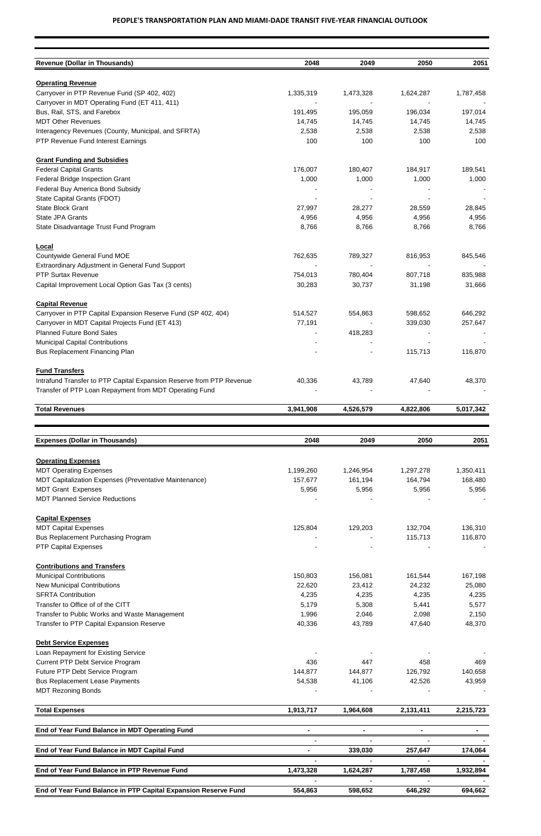| <b>Revenue (Dollar in Thousands)</b>                                 | 2048      | 2049      | 2050      | 2051      |
|----------------------------------------------------------------------|-----------|-----------|-----------|-----------|
|                                                                      |           |           |           |           |
| <b>Operating Revenue</b>                                             |           |           |           |           |
| Carryover in PTP Revenue Fund (SP 402, 402)                          | 1,335,319 | 1,473,328 | 1,624,287 | 1,787,458 |
| Carryover in MDT Operating Fund (ET 411, 411)                        |           |           |           |           |
| Bus, Rail, STS, and Farebox                                          | 191,495   | 195,059   | 196,034   | 197,014   |
| <b>MDT Other Revenues</b>                                            | 14,745    | 14,745    | 14,745    | 14,745    |
| Interagency Revenues (County, Municipal, and SFRTA)                  | 2,538     | 2,538     | 2,538     | 2,538     |
| PTP Revenue Fund Interest Earnings                                   | 100       | 100       | 100       | 100       |
| <b>Grant Funding and Subsidies</b>                                   |           |           |           |           |
| <b>Federal Capital Grants</b>                                        | 176,007   | 180,407   | 184,917   | 189,541   |
| Federal Bridge Inspection Grant                                      | 1,000     | 1,000     | 1,000     | 1,000     |
| Federal Buy America Bond Subsidy                                     |           |           |           |           |
| State Capital Grants (FDOT)                                          |           |           |           |           |
| <b>State Block Grant</b>                                             | 27,997    | 28,277    | 28,559    | 28,845    |
| <b>State JPA Grants</b>                                              | 4,956     | 4,956     | 4,956     | 4,956     |
| State Disadvantage Trust Fund Program                                | 8,766     | 8,766     | 8,766     | 8,766     |
|                                                                      |           |           |           |           |
| Local                                                                |           |           |           |           |
| Countywide General Fund MOE                                          | 762,635   | 789,327   | 816,953   | 845,546   |
| Extraordinary Adjustment in General Fund Support                     |           |           |           |           |
| <b>PTP Surtax Revenue</b>                                            | 754,013   | 780,404   | 807,718   | 835,988   |
| Capital Improvement Local Option Gas Tax (3 cents)                   | 30,283    | 30,737    | 31,198    | 31,666    |
| <b>Capital Revenue</b>                                               |           |           |           |           |
| Carryover in PTP Capital Expansion Reserve Fund (SP 402, 404)        | 514,527   | 554,863   | 598,652   | 646,292   |
| Carryover in MDT Capital Projects Fund (ET 413)                      | 77,191    |           | 339,030   | 257,647   |
| <b>Planned Future Bond Sales</b>                                     |           | 418,283   |           |           |
| <b>Municipal Capital Contributions</b>                               |           |           |           |           |
| Bus Replacement Financing Plan                                       |           |           | 115,713   | 116,870   |
| <b>Fund Transfers</b>                                                |           |           |           |           |
| Intrafund Transfer to PTP Capital Expansion Reserve from PTP Revenue | 40,336    | 43,789    | 47,640    | 48,370    |
| Transfer of PTP Loan Repayment from MDT Operating Fund               |           |           |           |           |
| <b>Total Revenues</b>                                                | 3,941,908 | 4,526,579 | 4,822,806 | 5,017,342 |
|                                                                      |           |           |           |           |
|                                                                      |           |           |           |           |
| <b>Expenses (Dollar in Thousands)</b>                                | 2048      | 2049      | 2050      | 2051      |
| <b>Operating Expenses</b>                                            |           |           |           |           |
| <b>MDT Operating Expenses</b>                                        | 1,199,260 | 1,246,954 | 1,297,278 | 1,350,411 |
| MDT Capitalization Expenses (Preventative Maintenance)               | 157,677   | 161,194   | 164,794   | 168,480   |
| <b>MDT Grant Expenses</b>                                            | 5,956     | 5,956     | 5,956     | 5,956     |
| <b>MDT Planned Service Reductions</b>                                |           |           |           |           |
| <b>Capital Expenses</b>                                              |           |           |           |           |
| <b>MDT Capital Expenses</b>                                          | 125,804   | 129,203   | 132,704   | 136,310   |
| <b>Bus Replacement Purchasing Program</b>                            |           |           | 115,713   | 116,870   |
| <b>PTP Capital Expenses</b>                                          |           |           |           |           |
| <b>Contributions and Transfers</b>                                   |           |           |           |           |
| <b>Municipal Contributions</b>                                       | 150,803   | 156,081   | 161,544   | 167,198   |
| <b>New Municipal Contributions</b>                                   | 22,620    | 23,412    | 24,232    | 25,080    |
| <b>SFRTA Contribution</b>                                            | 4,235     | 4,235     | 4,235     | 4,235     |
| Transfer to Office of of the CITT                                    | 5,179     | 5,308     | 5,441     | 5,577     |
|                                                                      |           |           |           |           |

| Transfer to Public Works and Waste Management                  | 1,996     | 2,046     | 2,098     | 2,150     |
|----------------------------------------------------------------|-----------|-----------|-----------|-----------|
| Transfer to PTP Capital Expansion Reserve                      | 40,336    | 43,789    | 47,640    | 48,370    |
| <b>Debt Service Expenses</b>                                   |           |           |           |           |
| Loan Repayment for Existing Service                            |           |           |           |           |
| <b>Current PTP Debt Service Program</b>                        | 436       | 447       | 458       | 469       |
| Future PTP Debt Service Program                                | 144,877   | 144,877   | 126,792   | 140,658   |
| <b>Bus Replacement Lease Payments</b>                          | 54,538    | 41,106    | 42,526    | 43,959    |
| <b>MDT Rezoning Bonds</b>                                      |           |           |           |           |
| <b>Total Expenses</b>                                          | 1,913,717 | 1,964,608 | 2,131,411 | 2,215,723 |
| End of Year Fund Balance in MDT Operating Fund                 |           |           |           |           |
|                                                                |           |           |           |           |
| End of Year Fund Balance in MDT Capital Fund                   |           | 339,030   | 257,647   | 174,064   |
|                                                                |           |           |           |           |
| End of Year Fund Balance in PTP Revenue Fund                   | 1,473,328 | 1,624,287 | 1,787,458 | 1,932,894 |
|                                                                |           |           |           |           |
| End of Year Fund Balance in PTP Capital Expansion Reserve Fund | 554,863   | 598,652   | 646,292   | 694,662   |